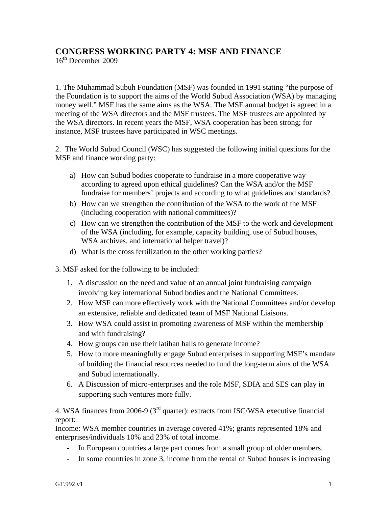## **CONGRESS WORKING PARTY 4: MSF AND FINANCE**

16th December 2009

1. The Muhammad Subuh Foundation (MSF) was founded in 1991 stating "the purpose of the Foundation is to support the aims of the World Subud Association (WSA) by managing money well." MSF has the same aims as the WSA. The MSF annual budget is agreed in a meeting of the WSA directors and the MSF trustees. The MSF trustees are appointed by the WSA directors. In recent years the MSF, WSA cooperation has been strong; for instance, MSF trustees have participated in WSC meetings.

2. The World Subud Council (WSC) has suggested the following initial questions for the MSF and finance working party:

- a) How can Subud bodies cooperate to fundraise in a more cooperative way according to agreed upon ethical guidelines? Can the WSA and/or the MSF fundraise for members' projects and according to what guidelines and standards?
- b) How can we strengthen the contribution of the WSA to the work of the MSF (including cooperation with national committees)?
- c) How can we strengthen the contribution of the MSF to the work and development of the WSA (including, for example, capacity building, use of Subud houses, WSA archives, and international helper travel)?
- d) What is the cross fertilization to the other working parties?
- 3. MSF asked for the following to be included:
	- 1. A discussion on the need and value of an annual joint fundraising campaign involving key international Subud bodies and the National Committees.
	- 2. How MSF can more effectively work with the National Committees and/or develop an extensive, reliable and dedicated team of MSF National Liaisons.
	- 3. How WSA could assist in promoting awareness of MSF within the membership and with fundraising?
	- 4. How groups can use their latihan halls to generate income?
	- 5. How to more meaningfully engage Subud enterprises in supporting MSF's mandate of building the financial resources needed to fund the long-term aims of the WSA and Subud internationally.
	- 6. A Discussion of micro-enterprises and the role MSF, SDIA and SES can play in supporting such ventures more fully.

4. WSA finances from 2006-9 (3rd quarter): extracts from ISC/WSA executive financial report:

Income: WSA member countries in average covered 41%; grants represented 18% and enterprises/individuals 10% and 23% of total income.

- In European countries a large part comes from a small group of older members.
- In some countries in zone 3, income from the rental of Subud houses is increasing